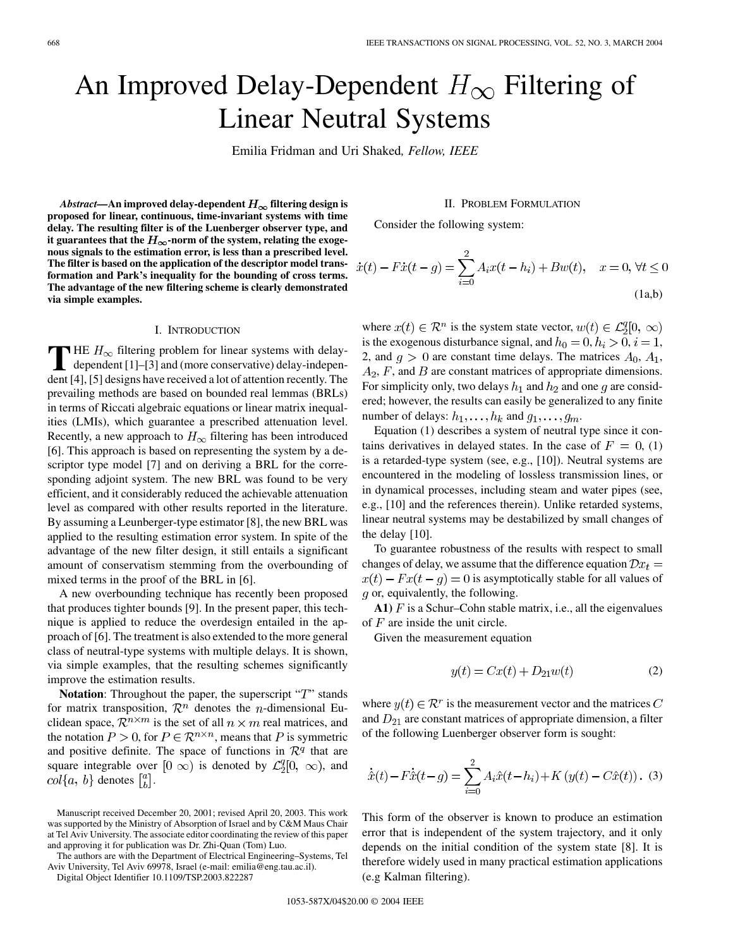# An Improved Delay-Dependent  $H_{\infty}$  Filtering of Linear Neutral Systems

Emilia Fridman and Uri Shaked*, Fellow, IEEE*

*Abstract*—An improved delay-dependent  $H_{\infty}$  filtering design is **proposed for linear, continuous, time-invariant systems with time delay. The resulting filter is of the Luenberger observer type, and** it guarantees that the  $H_{\infty}$ -norm of the system, relating the exoge**nous signals to the estimation error, is less than a prescribed level. The filter is based on the application of the descriptor model transformation and Park's inequality for the bounding of cross terms. The advantage of the new filtering scheme is clearly demonstrated via simple examples.**

#### I. INTRODUCTION

**T** HE  $H_{\infty}$  filtering problem for linear systems with delay-<br>dependent [[1\]](#page-5-0)–[\[3](#page-5-0)] and (more conservative) delay-independent [[4\]](#page-5-0), [[5\]](#page-5-0) designs have received a lot of attention recently. The prevailing methods are based on bounded real lemmas (BRLs) in terms of Riccati algebraic equations or linear matrix inequalities (LMIs), which guarantee a prescribed attenuation level. Recently, a new approach to  $H_{\infty}$  filtering has been introduced [[6\]](#page-5-0). This approach is based on representing the system by a descriptor type model [[7\]](#page-5-0) and on deriving a BRL for the corresponding adjoint system. The new BRL was found to be very efficient, and it considerably reduced the achievable attenuation level as compared with other results reported in the literature. By assuming a Leunberger-type estimator [\[8](#page-5-0)], the new BRL was applied to the resulting estimation error system. In spite of the advantage of the new filter design, it still entails a significant amount of conservatism stemming from the overbounding of mixed terms in the proof of the BRL in [\[6](#page-5-0)].

A new overbounding technique has recently been proposed that produces tighter bounds [[9\]](#page-5-0). In the present paper, this technique is applied to reduce the overdesign entailed in the approach of [\[6](#page-5-0)]. The treatment is also extended to the more general class of neutral-type systems with multiple delays. It is shown, via simple examples, that the resulting schemes significantly improve the estimation results.

**Notation**: Throughout the paper, the superscript " $T$ " stands for matrix transposition,  $\mathcal{R}^n$  denotes the *n*-dimensional Euclidean space,  $\mathcal{R}^{n \times m}$  is the set of all  $n \times m$  real matrices, and the notation  $P > 0$ , for  $P \in \mathbb{R}^{n \times n}$ , means that P is symmetric and positive definite. The space of functions in  $\mathcal{R}^q$  that are square integrable over  $[0 \infty)$  is denoted by  $\mathcal{L}_2^q[0, \infty)$ , and  $col{a, b}$  denotes  $\begin{bmatrix} a \\ b \end{bmatrix}$ .

The authors are with the Department of Electrical Engineering–Systems, Tel Aviv University, Tel Aviv 69978, Israel (e-mail: emilia@eng.tau.ac.il).

Digital Object Identifier 10.1109/TSP.2003.822287

## II. PROBLEM FORMULATION

Consider the following system:

$$
\dot{x}(t) - F\dot{x}(t - g) = \sum_{i=0}^{2} A_i x(t - h_i) + Bw(t), \quad x = 0, \forall t \le 0
$$
\n(1a,b)

where  $x(t) \in \mathcal{R}^n$  is the system state vector,  $w(t) \in \mathcal{L}_2^q[0, \infty)$ is the exogenous disturbance signal, and  $h_0 = 0, h_i > 0, i = 1$ , 2, and  $q > 0$  are constant time delays. The matrices  $A_0, A_1$ ,  $A_2$ , F, and B are constant matrices of appropriate dimensions. For simplicity only, two delays  $h_1$  and  $h_2$  and one g are considered; however, the results can easily be generalized to any finite number of delays:  $h_1, \ldots, h_k$  and  $g_1, \ldots, g_m$ .

Equation (1) describes a system of neutral type since it contains derivatives in delayed states. In the case of  $F = 0$ , (1) is a retarded-type system (see, e.g., [[10\]](#page-5-0)). Neutral systems are encountered in the modeling of lossless transmission lines, or in dynamical processes, including steam and water pipes (see, e.g., [[10\]](#page-5-0) and the references therein). Unlike retarded systems, linear neutral systems may be destabilized by small changes of the delay [[10\]](#page-5-0).

To guarantee robustness of the results with respect to small changes of delay, we assume that the difference equation  $\mathcal{D}x_t =$  $x(t) - Fx(t - g) = 0$  is asymptotically stable for all values of  $q$  or, equivalently, the following.

**A1**)  $F$  is a Schur–Cohn stable matrix, i.e., all the eigenvalues of  $F$  are inside the unit circle.

Given the measurement equation

$$
y(t) = Cx(t) + D_{21}w(t) \tag{2}
$$

where  $y(t) \in \mathcal{R}^r$  is the measurement vector and the matrices C and  $D_{21}$  are constant matrices of appropriate dimension, a filter of the following Luenberger observer form is sought:

$$
\dot{\hat{x}}(t) - F\dot{\hat{x}}(t - g) = \sum_{i=0}^{2} A_i \hat{x}(t - h_i) + K \left( y(t) - C\hat{x}(t) \right). \tag{3}
$$

This form of the observer is known to produce an estimation error that is independent of the system trajectory, and it only depends on the initial condition of the system state [\[8](#page-5-0)]. It is therefore widely used in many practical estimation applications (e.g Kalman filtering).

Manuscript received December 20, 2001; revised April 20, 2003. This work was supported by the Ministry of Absorption of Israel and by C&M Maus Chair at Tel Aviv University. The associate editor coordinating the review of this paper and approving it for publication was Dr. Zhi-Quan (Tom) Luo.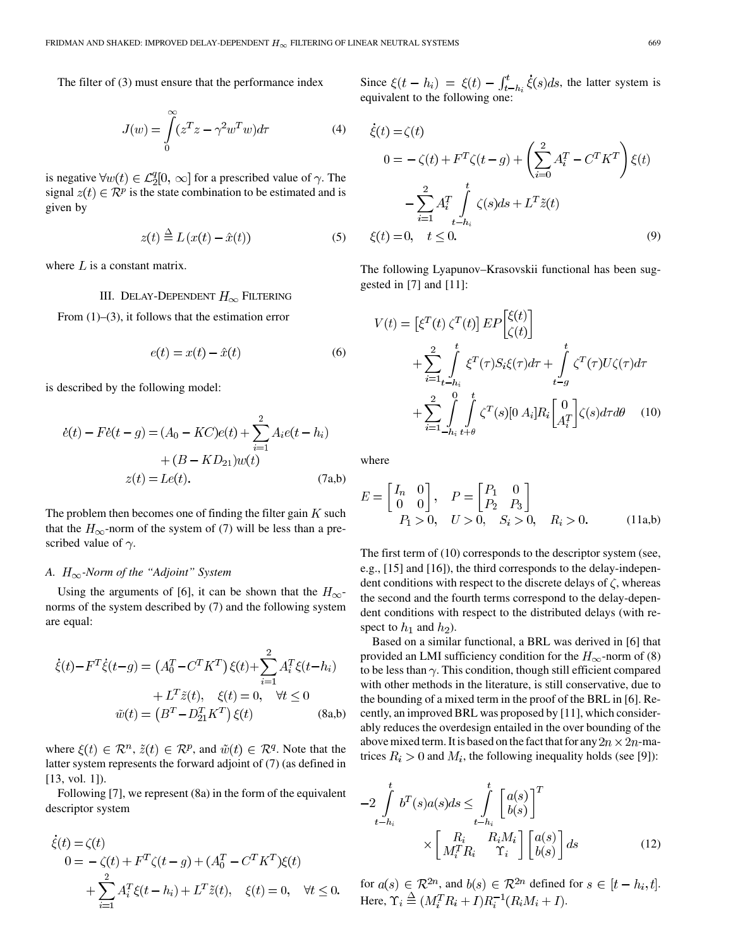The filter of (3) must ensure that the performance index

$$
J(w) = \int_{0}^{\infty} (z^T z - \gamma^2 w^T w) d\tau
$$
 (4)

is negative  $\forall w(t) \in \mathcal{L}_2^q[0, \infty]$  for a prescribed value of  $\gamma$ . The signal  $z(t) \in \mathbb{R}^p$  is the state combination to be estimated and is given by

$$
z(t) \stackrel{\Delta}{=} L(x(t) - \hat{x}(t))
$$
 (5)

where  $L$  is a constant matrix.

## III. DELAY-DEPENDENT  $H_{\infty}$  FILTERING

From  $(1)$ – $(3)$ , it follows that the estimation error

$$
e(t) = x(t) - \hat{x}(t)
$$
 (6)

is described by the following model:

$$
\dot{e}(t) - F\dot{e}(t - g) = (A_0 - KC)e(t) + \sum_{i=1}^{2} A_i e(t - h_i) + (B - KD_{21})w(t) z(t) = Le(t).
$$
 (7a,b)

The problem then becomes one of finding the filter gain  $K$  such that the  $H_{\infty}$ -norm of the system of (7) will be less than a prescribed value of  $\gamma$ .

# *A. -Norm of the "Adjoint" System*

Using the arguments of [\[6](#page-5-0)], it can be shown that the  $H_{\infty}$ norms of the system described by (7) and the following system are equal:

$$
\dot{\xi}(t) - F^T \dot{\xi}(t - g) = (A_0^T - C^T K^T) \xi(t) + \sum_{i=1}^2 A_i^T \xi(t - h_i) \n+ L^T \tilde{z}(t), \quad \xi(t) = 0, \quad \forall t \le 0 \n\tilde{w}(t) = (B^T - D_{21}^T K^T) \xi(t)
$$
\n(8a,b)

where  $\xi(t) \in \mathcal{R}^n$ ,  $\tilde{z}(t) \in \mathcal{R}^p$ , and  $\tilde{w}(t) \in \mathcal{R}^q$ . Note that the latter system represents the forward adjoint of (7) (as defined in [\[13](#page-5-0), vol. 1]).

Following [\[7](#page-5-0)], we represent (8a) in the form of the equivalent descriptor system

$$
\dot{\xi}(t) = \zeta(t) \n0 = -\zeta(t) + F^{T}\zeta(t-g) + (A_{0}^{T} - C^{T}K^{T})\xi(t) \n+ \sum_{i=1}^{2} A_{i}^{T}\xi(t-h_{i}) + L^{T}\tilde{z}(t), \quad \xi(t) = 0, \quad \forall t \leq 0.
$$

Since  $\xi(t-h_i) = \xi(t) - \int_{t-h_i}^t \dot{\xi}(s)ds$ , the latter system is equivalent to the following one:

$$
\dot{\xi}(t) = \zeta(t)
$$
  
\n
$$
0 = -\zeta(t) + F^T \zeta(t - g) + \left(\sum_{i=0}^2 A_i^T - C^T K^T\right) \xi(t)
$$
  
\n
$$
-\sum_{i=1}^2 A_i^T \int_{t - h_i}^t \zeta(s) ds + L^T \tilde{z}(t)
$$
  
\n
$$
\xi(t) = 0, \quad t \le 0.
$$
 (9)

The following Lyapunov–Krasovskii functional has been suggested in [\[7](#page-5-0)] and [\[11](#page-5-0)]:

 $F \neq C \land T$ 

$$
V(t) = \left[\xi^T(t)\zeta^T(t)\right]EP\begin{bmatrix} \xi(t) \\ \zeta(t) \end{bmatrix}
$$
  
+
$$
\sum_{i=1}^2 \int_{t-h_i}^t \xi^T(\tau)S_i\xi(\tau)d\tau + \int_{t-g}^t \zeta^T(\tau)U\zeta(\tau)d\tau
$$
  
+
$$
\sum_{i=1}^2 \int_{-h_i}^0 \int_{t+\theta}^t \zeta^T(s)[0 A_i]R_i\begin{bmatrix} 0 \\ A_i^T \end{bmatrix} \zeta(s)d\tau d\theta \qquad (10)
$$

where

$$
E = \begin{bmatrix} I_n & 0 \\ 0 & 0 \end{bmatrix}, \quad P = \begin{bmatrix} P_1 & 0 \\ P_2 & P_3 \end{bmatrix}
$$
  
 $P_1 > 0, \quad U > 0, \quad S_i > 0, \quad R_i > 0.$  (11a,b)

The first term of (10) corresponds to the descriptor system (see, e.g., [[15\]](#page-5-0) and [[16\]](#page-5-0)), the third corresponds to the delay-independent conditions with respect to the discrete delays of  $\zeta$ , whereas the second and the fourth terms correspond to the delay-dependent conditions with respect to the distributed delays (with respect to  $h_1$  and  $h_2$ ).

Based on a similar functional, a BRL was derived in [\[6](#page-5-0)] that provided an LMI sufficiency condition for the  $H_{\infty}$ -norm of (8) to be less than  $\gamma$ . This condition, though still efficient compared with other methods in the literature, is still conservative, due to the bounding of a mixed term in the proof of the BRL in [\[6\]](#page-5-0). Recently, an improved BRL was proposed by [\[11](#page-5-0)], which considerably reduces the overdesign entailed in the over bounding of the above mixed term. It is based on the fact that for any  $2n \times 2n$ -matrices  $R_i > 0$  and  $M_i$ , the following inequality holds (see [[9\]](#page-5-0)):

$$
-2\int_{t-h_i}^t b^T(s)a(s)ds \leq \int_{t-h_i}^t \begin{bmatrix} a(s) \\ b(s) \end{bmatrix}^T
$$

$$
\times \begin{bmatrix} R_i & R_iM_i \\ M_i^T R_i & \Upsilon_i \end{bmatrix} \begin{bmatrix} a(s) \\ b(s) \end{bmatrix} ds \qquad (12)
$$

for  $a(s) \in \mathcal{R}^{2n}$ , and  $b(s) \in \mathcal{R}^{2n}$  defined for  $s \in [t-h_i,t]$ . Here,  $\Upsilon_i \triangleq (M_i^T R_i + I) R_i^{-1} (R_i M_i + I)$ .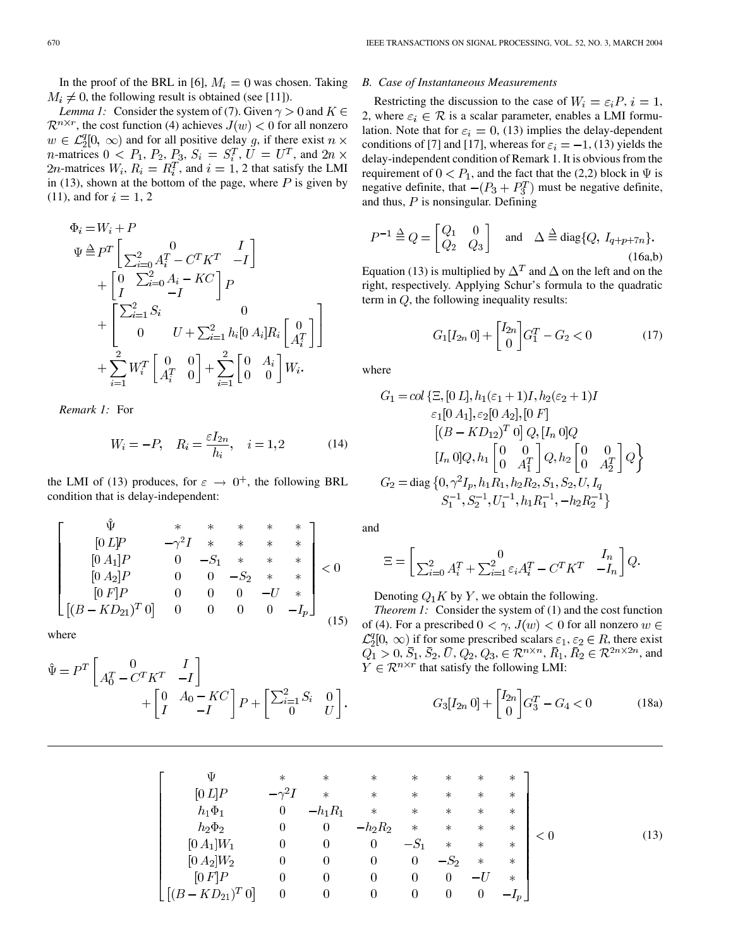In the proof of the BRL in [\[6](#page-5-0)],  $M_i = 0$  was chosen. Taking  $M_i \neq 0$ , the following result is obtained (see [\[11](#page-5-0)]).

*Lemma 1:* Consider the system of (7). Given  $\gamma > 0$  and  $K \in$  $\mathcal{R}^{n \times r}$ , the cost function (4) achieves  $J(w) < 0$  for all nonzero  $w \in \mathcal{L}_2^q[0, \infty)$  and for all positive delay g, if there exist  $n \times$ *n*-matrices  $0 \lt P_1$ ,  $P_2$ ,  $P_3$ ,  $S_i = S_i^T$ ,  $\overline{U} = U^T$ , and  $2n \times$ 2*n*-matrices  $W_i$ ,  $R_i = R_i^T$ , and  $i = 1$ , 2 that satisfy the LMI in (13), shown at the bottom of the page, where  $P$  is given by  $(11)$ , and for  $i = 1, 2$ 

$$
\Phi_{i} = W_{i} + P
$$
\n
$$
\Psi \stackrel{\Delta}{=} P^{T} \begin{bmatrix} 0 & I \\ \sum_{i=0}^{2} A_{i}^{T} - C^{T} K^{T} & -I \end{bmatrix}
$$
\n
$$
+ \begin{bmatrix} 0 & \sum_{i=0}^{2} A_{i} - K C \\ I & -I \end{bmatrix} P
$$
\n
$$
+ \begin{bmatrix} \sum_{i=1}^{2} S_{i} & 0 \\ 0 & U + \sum_{i=1}^{2} h_{i} [0 A_{i}] R_{i} \begin{bmatrix} 0 \\ A_{i}^{T} \end{bmatrix} \end{bmatrix}
$$
\n
$$
+ \sum_{i=1}^{2} W_{i}^{T} \begin{bmatrix} 0 & 0 \\ A_{i}^{T} & 0 \end{bmatrix} + \sum_{i=1}^{2} \begin{bmatrix} 0 & A_{i} \\ 0 & 0 \end{bmatrix} W_{i}.
$$

*Remark 1:* For

$$
W_i = -P, \quad R_i = \frac{\varepsilon I_{2n}}{h_i}, \quad i = 1, 2
$$
 (14)

the LMI of (13) produces, for  $\varepsilon \to 0^+$ , the following BRL condition that is delay-independent:

$$
\begin{bmatrix}\n\Phi & * & * & * & * & * & * \\
0 & L|P & -\gamma^2 I & * & * & * & * \\
0 & A_1|P & 0 & -S_1 & * & * & * \\
0 & A_2|P & 0 & 0 & -S_2 & * & * \\
0 & F|P & 0 & 0 & 0 & -U & * \\
[(B - KD_{21})^T 0] & 0 & 0 & 0 & 0 & -I_p\n\end{bmatrix} < 0
$$
\n(15)

where

$$
\hat{\Psi} = P^T \begin{bmatrix} 0 & I \\ A_0^T - C^T K^T & -I \end{bmatrix} + \begin{bmatrix} 0 & A_0 - K C \\ I & -I \end{bmatrix} P + \begin{bmatrix} \sum_{i=1}^2 S_i & 0 \\ 0 & U \end{bmatrix}
$$

## *B. Case of Instantaneous Measurements*

Restricting the discussion to the case of  $W_i = \varepsilon_i P, i = 1$ , 2, where  $\varepsilon_i \in \mathcal{R}$  is a scalar parameter, enables a LMI formulation. Note that for  $\varepsilon_i = 0$ , (13) implies the delay-dependent conditions of [\[7](#page-5-0)] and [[17\]](#page-5-0), whereas for  $\varepsilon_i = -1$ , (13) yields the delay-independent condition of Remark 1. It is obvious from the requirement of  $0 < P_1$ , and the fact that the (2,2) block in  $\Psi$  is negative definite, that  $-(P_3 + P_3^T)$  must be negative definite, and thus,  $P$  is nonsingular. Defining

$$
P^{-1} \stackrel{\Delta}{=} Q = \begin{bmatrix} Q_1 & 0 \\ Q_2 & Q_3 \end{bmatrix} \text{ and } \Delta \stackrel{\Delta}{=} \text{diag}\{Q, I_{q+p+7n}\}.
$$
\n(16a,b)

Equation (13) is multiplied by  $\Delta^T$  and  $\Delta$  on the left and on the right, respectively. Applying Schur's formula to the quadratic term in  $Q$ , the following inequality results:

$$
G_1[I_{2n} \ 0] + \begin{bmatrix} I_{2n} \\ 0 \end{bmatrix} G_1^T - G_2 < 0 \tag{17}
$$

where

$$
G_1 = col \{\Xi, [0 L], h_1(\varepsilon_1 + 1)I, h_2(\varepsilon_2 + 1)I
$$
  
\n
$$
\varepsilon_1[0 A_1], \varepsilon_2[0 A_2], [0 F]
$$
  
\n
$$
[(B - K D_{12})^T 0] Q, [I_n 0] Q
$$
  
\n
$$
[I_n 0] Q, h_1 \begin{bmatrix} 0 & 0 \\ 0 & A_1^T \end{bmatrix} Q, h_2 \begin{bmatrix} 0 & 0 \\ 0 & A_2^T \end{bmatrix} Q
$$
  
\n
$$
G_2 = diag \{0, \gamma^2 I_p, h_1 R_1, h_2 R_2, S_1, S_2, U, I_q
$$
  
\n
$$
S_1^{-1}, S_2^{-1}, U_1^{-1}, h_1 R_1^{-1}, -h_2 R_2^{-1} \}
$$

and

$$
\Xi = \begin{bmatrix} 0 & I_n \\ \sum_{i=0}^2 A_i^T + \sum_{i=1}^2 \varepsilon_i A_i^T - C^T K^T & -I_n \end{bmatrix} Q
$$

Denoting  $Q_1 K$  by Y, we obtain the following.

(15) of (4). For a prescribed  $0 < \gamma$ ,  $J(w) < 0$  for all nonzero *Theorem 1:* Consider the system of (1) and the cost function  $\mathcal{L}_2^q[0, \infty)$  if for some prescribed scalars  $\varepsilon_1, \varepsilon_2 \in R$ , there exist  $Q_1 > 0, \overline{S}_1, \overline{S}_2, \overline{U}, Q_2, Q_3 \in \mathcal{R}^{n \times n}, \overline{R}_1, \overline{R}_2 \in \mathcal{R}^{2n \times 2n}$ , and  $Y \in \mathcal{R}^{n \times r}$  that satisfy the following LMI:

$$
G_3[I_{2n} \ 0] + \begin{bmatrix} I_{2n} \\ 0 \end{bmatrix} G_3^T - G_4 < 0 \tag{18a}
$$

$$
\begin{bmatrix}\n\Psi & * & * & * & * & * & * & * & * \\
[0 L]P & -\gamma^2 I & * & * & * & * & * & * & * \\
h_1 \Phi_1 & 0 & -h_1 R_1 & * & * & * & * & * \\
h_2 \Phi_2 & 0 & 0 & -h_2 R_2 & * & * & * & * \\
[0 A_1]W_1 & 0 & 0 & 0 & -S_1 & * & * & * \\
[0 A_2]W_2 & 0 & 0 & 0 & 0 & -S_2 & * & * \\
[0 F]P & 0 & 0 & 0 & 0 & 0 & -U & * \\
[(B - K D_{21})^T 0] & 0 & 0 & 0 & 0 & 0 & -I_p\n\end{bmatrix}
$$
\n(13)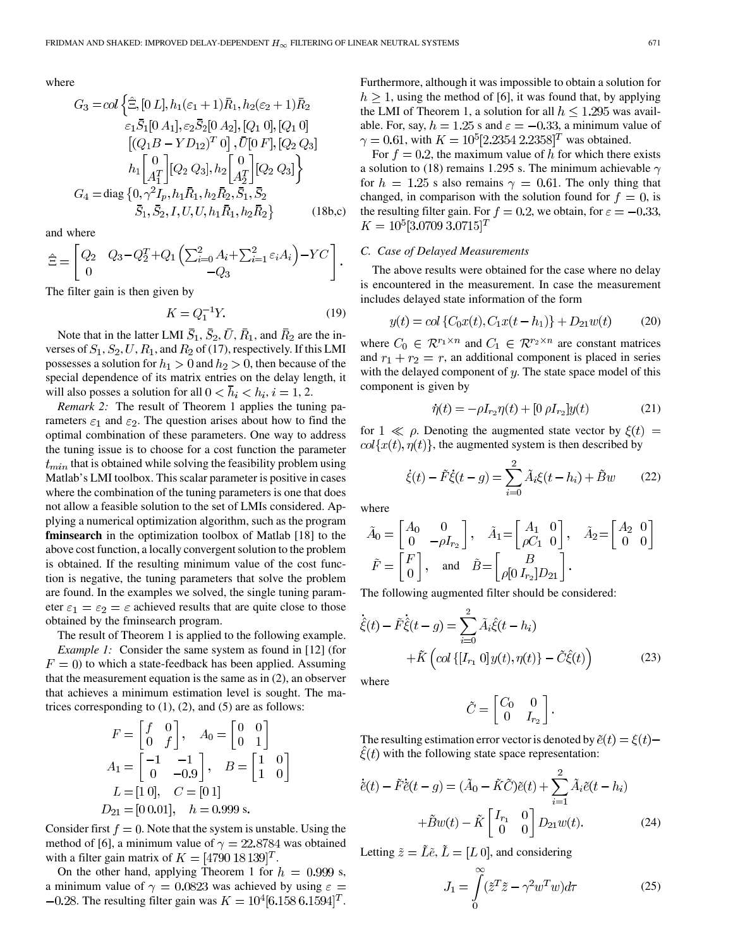where

$$
G_3 = col\left\{\hat{\Xi}, [0 L], h_1(\varepsilon_1 + 1)\bar{R}_1, h_2(\varepsilon_2 + 1)\bar{R}_2
$$
  
\n
$$
\varepsilon_1 \bar{S}_1 [0 A_1], \varepsilon_2 \bar{S}_2 [0 A_2], [Q_1 0], [Q_1 0]
$$
  
\n
$$
[(Q_1 B - Y D_{12})^T 0], \bar{U}[0 F], [Q_2 Q_3]
$$
  
\n
$$
h_1 \begin{bmatrix} 0 \\ A_1^T \end{bmatrix} [Q_2 Q_3], h_2 \begin{bmatrix} 0 \\ A_2^T \end{bmatrix} [Q_2 Q_3] \right\}
$$
  
\n
$$
G_4 = diag\{0, \gamma^2 I_p, h_1 \bar{R}_1, h_2 \bar{R}_2, \bar{S}_1, \bar{S}_2
$$
  
\n
$$
\bar{S}_1, \bar{S}_2, I, U, U, h_1 \bar{R}_1, h_2 \bar{R}_2\}
$$
 (18b,c)

and where

$$
\hat{\Xi} = \begin{bmatrix} Q_2 & Q_3 - Q_2^T + Q_1 \left( \sum_{i=0}^2 A_i + \sum_{i=1}^2 \varepsilon_i A_i \right) - YC \\ 0 & -Q_3 \end{bmatrix}.
$$

The filter gain is then given by

$$
K = Q_1^{-1}Y.\tag{19}
$$

Note that in the latter LMI  $\bar{S}_1$ ,  $\bar{S}_2$ ,  $\bar{U}$ ,  $\bar{R}_1$ , and  $\bar{R}_2$  are the inverses of  $S_1$ ,  $S_2$ ,  $U$ ,  $R_1$ , and  $R_2$  of (17), respectively. If this LMI possesses a solution for  $h_1 > 0$  and  $h_2 > 0$ , then because of the special dependence of its matrix entries on the delay length, it will also posses a solution for all  $0 < \bar{h}_i < h_i, i = 1, 2$ .

*Remark 2:* The result of Theorem 1 applies the tuning parameters  $\varepsilon_1$  and  $\varepsilon_2$ . The question arises about how to find the optimal combination of these parameters. One way to address the tuning issue is to choose for a cost function the parameter  $t_{min}$  that is obtained while solving the feasibility problem using Matlab's LMI toolbox. This scalar parameter is positive in cases where the combination of the tuning parameters is one that does not allow a feasible solution to the set of LMIs considered. Applying a numerical optimization algorithm, such as the program **fminsearch** in the optimization toolbox of Matlab [\[18](#page-5-0)] to the above cost function, a locally convergent solution to the problem is obtained. If the resulting minimum value of the cost function is negative, the tuning parameters that solve the problem are found. In the examples we solved, the single tuning parameter  $\varepsilon_1 = \varepsilon_2 = \varepsilon$  achieved results that are quite close to those obtained by the fminsearch program.

The result of Theorem 1 is applied to the following example. *Example 1:* Consider the same system as found in [\[12](#page-5-0)] (for  $F = 0$ ) to which a state-feedback has been applied. Assuming that the measurement equation is the same as in (2), an observer that achieves a minimum estimation level is sought. The matrices corresponding to  $(1)$ ,  $(2)$ , and  $(5)$  are as follows:

$$
F = \begin{bmatrix} f & 0 \\ 0 & f \end{bmatrix}, \quad A_0 = \begin{bmatrix} 0 & 0 \\ 0 & 1 \end{bmatrix}
$$

$$
A_1 = \begin{bmatrix} -1 & -1 \\ 0 & -0.9 \end{bmatrix}, \quad B = \begin{bmatrix} 1 & 0 \\ 1 & 0 \end{bmatrix}
$$

$$
L = \begin{bmatrix} 1 & 0 \end{bmatrix}, \quad C = \begin{bmatrix} 0 & 1 \end{bmatrix}
$$

$$
D_{21} = \begin{bmatrix} 0 & 0.01 \end{bmatrix}, \quad h = 0.999 \text{ s}.
$$

Consider first  $f = 0$ . Note that the system is unstable. Using the method of [[6\]](#page-5-0), a minimum value of  $\gamma = 22.8784$  was obtained with a filter gain matrix of  $K = [4790 \ 18 \ 139]^T$ .

On the other hand, applying Theorem 1 for  $h = 0.999$  s, a minimum value of  $\gamma = 0.0823$  was achieved by using  $\varepsilon =$  $-0.28$ . The resulting filter gain was  $K = 10^4 [6.158 6.1594]^T$ . Furthermore, although it was impossible to obtain a solution for  $h \geq 1$ , using the method of [\[6](#page-5-0)], it was found that, by applying the LMI of Theorem 1, a solution for all  $h \leq 1.295$  was available. For, say,  $h = 1.25$  s and  $\varepsilon = -0.33$ , a minimum value of  $\gamma = 0.61$ , with  $K = 10^5 [2.2354 2.2358]^T$  was obtained.

For  $f = 0.2$ , the maximum value of h for which there exists a solution to (18) remains 1.295 s. The minimum achievable  $\gamma$ for  $h = 1.25$  s also remains  $\gamma = 0.61$ . The only thing that changed, in comparison with the solution found for  $f = 0$ , is the resulting filter gain. For  $f = 0.2$ , we obtain, for  $\varepsilon = -0.33$ ,  $K = 10^5[3.0709\;3.0715]^T$ 

### *C. Case of Delayed Measurements*

The above results were obtained for the case where no delay is encountered in the measurement. In case the measurement includes delayed state information of the form

$$
y(t) = col\{C_0x(t), C_1x(t - h_1)\} + D_{21}w(t) \tag{20}
$$

where  $C_0 \in \mathcal{R}^{r_1 \times n}$  and  $C_1 \in \mathcal{R}^{r_2 \times n}$  are constant matrices and  $r_1 + r_2 = r$ , an additional component is placed in series with the delayed component of  $y$ . The state space model of this component is given by

$$
\dot{\eta}(t) = -\rho I_{r_2} \eta(t) + [0 \rho I_{r_2}] y(t) \tag{21}
$$

for  $1 \ll \rho$ . Denoting the augmented state vector by  $\xi(t)$  =  $col{x(t), \eta(t)}$ , the augmented system is then described by

$$
\dot{\xi}(t) - \tilde{F}\dot{\xi}(t - g) = \sum_{i=0}^{2} \tilde{A}_{i}\xi(t - h_{i}) + \tilde{B}w \qquad (22)
$$

where

$$
\tilde{A}_0 = \begin{bmatrix} A_0 & 0 \\ 0 & -\rho I_{r_2} \end{bmatrix}, \quad \tilde{A}_1 = \begin{bmatrix} A_1 & 0 \\ \rho C_1 & 0 \end{bmatrix}, \quad \tilde{A}_2 = \begin{bmatrix} A_2 & 0 \\ 0 & 0 \end{bmatrix}
$$

$$
\tilde{F} = \begin{bmatrix} F \\ 0 \end{bmatrix}, \quad \text{and} \quad \tilde{B} = \begin{bmatrix} B \\ \rho [0 \ I_{r_2}] D_{21} \end{bmatrix}.
$$

The following augmented filter should be considered:

$$
\dot{\hat{\xi}}(t) - \tilde{F}\dot{\hat{\xi}}(t-g) = \sum_{i=0}^{2} \tilde{A}_{i}\hat{\xi}(t-h_{i}) + \tilde{K}\left(\operatorname{col}\left\{[I_{r_{1}}\ 0\right]y(t),\eta(t)\right\} - \tilde{C}\hat{\xi}(t)\right)
$$
\n(23)

where

$$
\tilde{C} = \begin{bmatrix} C_0 & 0 \\ 0 & I_{r_2} \end{bmatrix}
$$

The resulting estimation error vector is denoted by  $\tilde{e}(t) = \xi(t) \xi(t)$  with the following state space representation:

$$
\dot{\tilde{e}}(t) - \tilde{F}\dot{\tilde{e}}(t - g) = (\tilde{A}_0 - \tilde{K}\tilde{C})\tilde{e}(t) + \sum_{i=1}^{2} \tilde{A}_i \tilde{e}(t - h_i) \n+ \tilde{B}w(t) - \tilde{K} \begin{bmatrix} I_{r_1} & 0 \\ 0 & 0 \end{bmatrix} D_{21}w(t).
$$
\n(24)

Letting  $\tilde{z} = \tilde{L}\tilde{e}$ ,  $\tilde{L} = [L 0]$ , and considering

$$
J_1 = \int_0^\infty (\tilde{z}^T \tilde{z} - \gamma^2 w^T w) d\tau \tag{25}
$$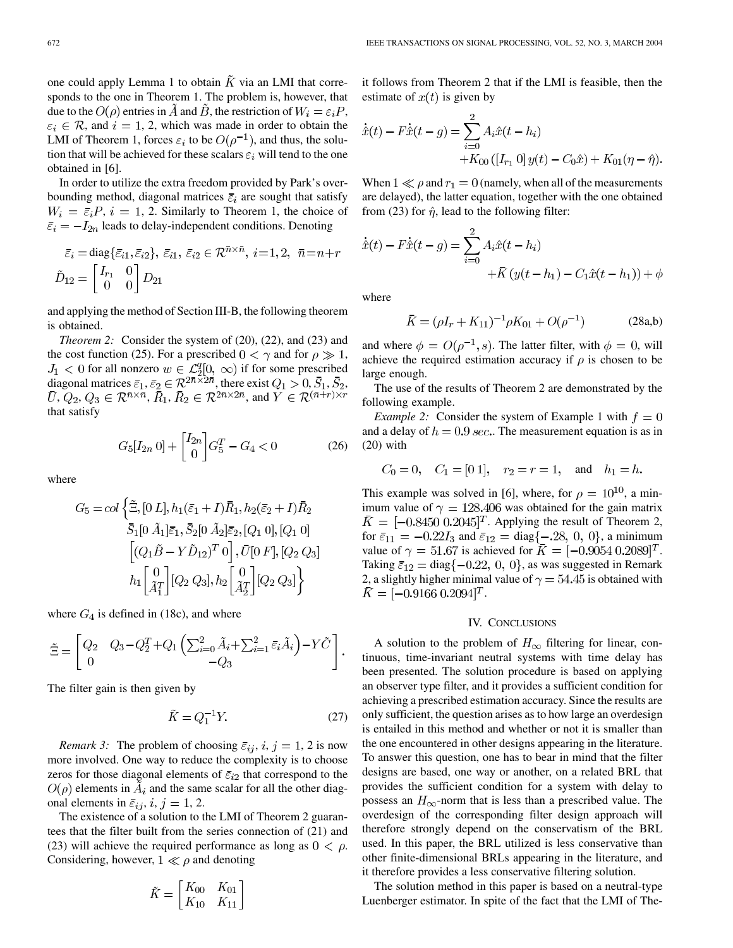one could apply Lemma 1 to obtain  $\tilde{K}$  via an LMI that corresponds to the one in Theorem 1. The problem is, however, that due to the  $O(\rho)$  entries in  $\tilde{A}$  and  $\tilde{B}$ , the restriction of  $W_i = \varepsilon_i P$ ,  $\varepsilon_i \in \mathcal{R}$ , and  $i = 1, 2$ , which was made in order to obtain the LMI of Theorem 1, forces  $\varepsilon_i$  to be  $O(\rho^{-1})$ , and thus, the solution that will be achieved for these scalars  $\varepsilon_i$  will tend to the one obtained in [[6\]](#page-5-0).

In order to utilize the extra freedom provided by Park's overbounding method, diagonal matrices  $\bar{\varepsilon}_i$  are sought that satisfy  $W_i = \bar{\varepsilon}_i P$ ,  $i = 1, 2$ . Similarly to Theorem 1, the choice of  $\bar{\varepsilon}_i = -I_{2n}$  leads to delay-independent conditions. Denoting

$$
\bar{\varepsilon}_i = \text{diag}\{\bar{\varepsilon}_{i1}, \bar{\varepsilon}_{i2}\}, \ \bar{\varepsilon}_{i1}, \ \bar{\varepsilon}_{i2} \in \mathcal{R}^{\bar{n} \times \bar{n}}, \ i = 1, 2, \ \ \bar{n} = n + r
$$

$$
\tilde{D}_{12} = \begin{bmatrix} I_{r_1} & 0 \\ 0 & 0 \end{bmatrix} D_{21}
$$

and applying the method of Section III-B, the following theorem is obtained.

*Theorem 2:* Consider the system of (20), (22), and (23) and the cost function (25). For a prescribed  $0 < \gamma$  and for  $\rho \gg 1$ , for all nonzero  $w \in \mathcal{L}_2^q[0, \infty)$  if for some prescribed diagonal matrices  $\bar{\varepsilon}_1, \bar{\varepsilon}_2 \in \mathcal{R}^{2\bar{n}\times 2\bar{n}}$ , there exist  $Q_1 > 0, S_1, S_2$ , ,  $Q_2, Q_3 \in \mathcal{R}^{\bar{n} \times \bar{n}}$ ,  $R_1, R_2 \in \mathcal{R}^{2\bar{n} \times 2\bar{n}}$ , and that satisfy

$$
G_5[I_{2n} \ 0] + \begin{bmatrix} I_{2n} \\ 0 \end{bmatrix} G_5^T - G_4 < 0 \tag{26}
$$

where

$$
G_5 = col \left\{ \tilde{\Xi}, [0 L], h_1(\bar{\varepsilon}_1 + I) \bar{R}_1, h_2(\bar{\varepsilon}_2 + I) \bar{R}_2 \n\bar{S}_1[0 \tilde{A}_1] \bar{\varepsilon}_1, \bar{S}_2[0 \tilde{A}_2] \bar{\varepsilon}_2, [Q_1 0], [Q_1 0] \n\left[ (Q_1 \tilde{B} - Y \tilde{D}_{12})^T 0 \right], \bar{U}[0 F], [Q_2 Q_3] \n\bar{h}_1 \left[ \tilde{A}_1^T \right] [Q_2 Q_3], \bar{h}_2 \left[ \tilde{A}_2^T \right] [Q_2 Q_3] \right\}
$$

where  $G_4$  is defined in (18c), and where

$$
\tilde{\Xi} = \begin{bmatrix} Q_2 & Q_3 - Q_2^T + Q_1 \left( \sum_{i=0}^2 \tilde{A}_i + \sum_{i=1}^2 \bar{\varepsilon}_i \tilde{A}_i \right) - Y \tilde{C} \\ 0 & -Q_3 \end{bmatrix}.
$$

The filter gain is then given by

$$
\tilde{K} = Q_1^{-1}Y.\tag{27}
$$

*Remark 3:* The problem of choosing  $\bar{\varepsilon}_{ij}$ ,  $i, j = 1, 2$  is now more involved. One way to reduce the complexity is to choose zeros for those diagonal elements of  $\bar{\varepsilon}_{i2}$  that correspond to the  $O(\rho)$  elements in  $A_i$  and the same scalar for all the other diagonal elements in  $\bar{\varepsilon}_{ij}$ ,  $i, j = 1, 2$ .

The existence of a solution to the LMI of Theorem 2 guarantees that the filter built from the series connection of (21) and (23) will achieve the required performance as long as  $0 < \rho$ . Considering, however,  $1 \ll \rho$  and denoting

$$
\tilde{K} = \begin{bmatrix} K_{00} & K_{01} \\ K_{10} & K_{11} \end{bmatrix}
$$

it follows from Theorem 2 that if the LMI is feasible, then the estimate of  $x(t)$  is given by

$$
\begin{aligned} \dot{\hat{x}}(t) - F\dot{\hat{x}}(t-g) &= \sum_{i=0}^{2} A_i \hat{x}(t-h_i) \\ &+ K_{00} \left( \left[ I_{r_1} \ 0 \right] y(t) - C_0 \hat{x} \right) + K_{01} (\eta - \hat{\eta}). \end{aligned}
$$

When  $1 \ll \rho$  and  $r_1 = 0$  (namely, when all of the measurements are delayed), the latter equation, together with the one obtained from (23) for  $\hat{\eta}$ , lead to the following filter:

$$
\dot{\hat{x}}(t) - F\dot{\hat{x}}(t - g) = \sum_{i=0}^{2} A_i \hat{x}(t - h_i) + \bar{K} (y(t - h_1) - C_1 \hat{x}(t - h_1)) + \phi
$$

where

$$
\bar{K} = (\rho I_r + K_{11})^{-1} \rho K_{01} + O(\rho^{-1})
$$
 (28a,b)

and where  $\phi = O(\rho^{-1}, s)$ . The latter filter, with  $\phi = 0$ , will achieve the required estimation accuracy if  $\rho$  is chosen to be large enough.

The use of the results of Theorem 2 are demonstrated by the following example.

*Example 2:* Consider the system of Example 1 with  $f = 0$ and a delay of  $h = 0.9$  sec.. The measurement equation is as in (20) with

$$
C_0 = 0
$$
,  $C_1 = [0 1]$ ,  $r_2 = r = 1$ , and  $h_1 = h$ .

This example was solved in [\[6](#page-5-0)], where, for  $\rho = 10^{10}$ , a minimum value of  $\gamma = 128.406$  was obtained for the gain matrix  $\overline{K} = [-0.8450 \; 0.2045]^T$ . Applying the result of Theorem 2, for  $\bar{\varepsilon}_{11} = -0.22 I_3$  and  $\bar{\varepsilon}_{12} = \text{diag}\{-.28, 0, 0\}$ , a minimum value of  $\gamma = 51.67$  is achieved for  $K = [-0.9054 \; 0.2089]^T$ . Taking  $\bar{\varepsilon}_{12} = \text{diag} \{-0.22, 0, 0\}$ , as was suggested in Remark 2, a slightly higher minimal value of  $\gamma = 54.45$  is obtained with  $\overline{K} = [-0.9166 \, 0.2094]^T$ .

## IV. CONCLUSIONS

A solution to the problem of  $H_{\infty}$  filtering for linear, continuous, time-invariant neutral systems with time delay has been presented. The solution procedure is based on applying an observer type filter, and it provides a sufficient condition for achieving a prescribed estimation accuracy. Since the results are only sufficient, the question arises as to how large an overdesign is entailed in this method and whether or not it is smaller than the one encountered in other designs appearing in the literature. To answer this question, one has to bear in mind that the filter designs are based, one way or another, on a related BRL that provides the sufficient condition for a system with delay to possess an  $H_{\infty}$ -norm that is less than a prescribed value. The overdesign of the corresponding filter design approach will therefore strongly depend on the conservatism of the BRL used. In this paper, the BRL utilized is less conservative than other finite-dimensional BRLs appearing in the literature, and it therefore provides a less conservative filtering solution.

The solution method in this paper is based on a neutral-type Luenberger estimator. In spite of the fact that the LMI of The